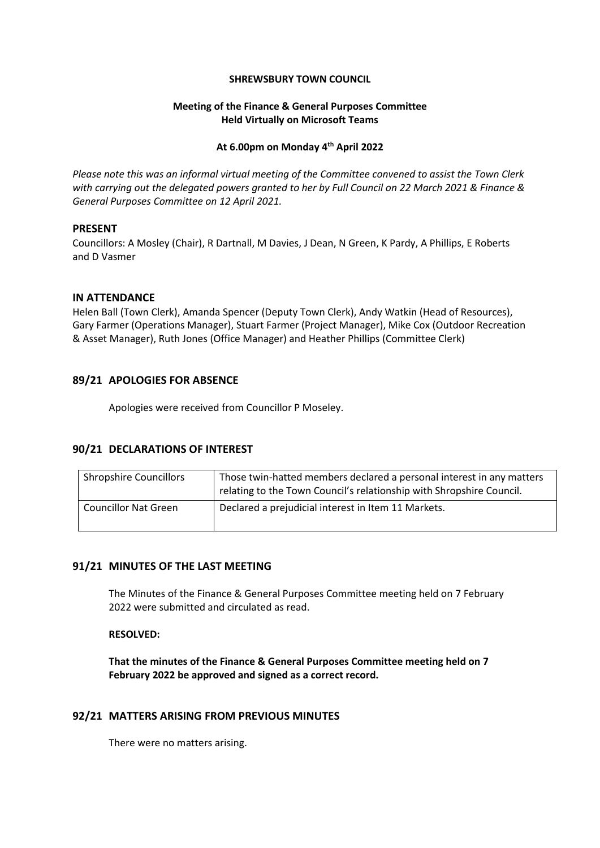#### **SHREWSBURY TOWN COUNCIL**

## **Meeting of the Finance & General Purposes Committee Held Virtually on Microsoft Teams**

# **At 6.00pm on Monday 4 th April 2022**

*Please note this was an informal virtual meeting of the Committee convened to assist the Town Clerk with carrying out the delegated powers granted to her by Full Council on 22 March 2021 & Finance & General Purposes Committee on 12 April 2021.*

### **PRESENT**

Councillors: A Mosley (Chair), R Dartnall, M Davies, J Dean, N Green, K Pardy, A Phillips, E Roberts and D Vasmer

### **IN ATTENDANCE**

Helen Ball (Town Clerk), Amanda Spencer (Deputy Town Clerk), Andy Watkin (Head of Resources), Gary Farmer (Operations Manager), Stuart Farmer (Project Manager), Mike Cox (Outdoor Recreation & Asset Manager), Ruth Jones (Office Manager) and Heather Phillips (Committee Clerk)

# **89/21 APOLOGIES FOR ABSENCE**

Apologies were received from Councillor P Moseley.

### **90/21 DECLARATIONS OF INTEREST**

| <b>Shropshire Councillors</b> | Those twin-hatted members declared a personal interest in any matters<br>relating to the Town Council's relationship with Shropshire Council. |
|-------------------------------|-----------------------------------------------------------------------------------------------------------------------------------------------|
| <b>Councillor Nat Green</b>   | Declared a prejudicial interest in Item 11 Markets.                                                                                           |

# **91/21 MINUTES OF THE LAST MEETING**

The Minutes of the Finance & General Purposes Committee meeting held on 7 February 2022 were submitted and circulated as read.

### **RESOLVED:**

**That the minutes of the Finance & General Purposes Committee meeting held on 7 February 2022 be approved and signed as a correct record.**

### **92/21 MATTERS ARISING FROM PREVIOUS MINUTES**

There were no matters arising.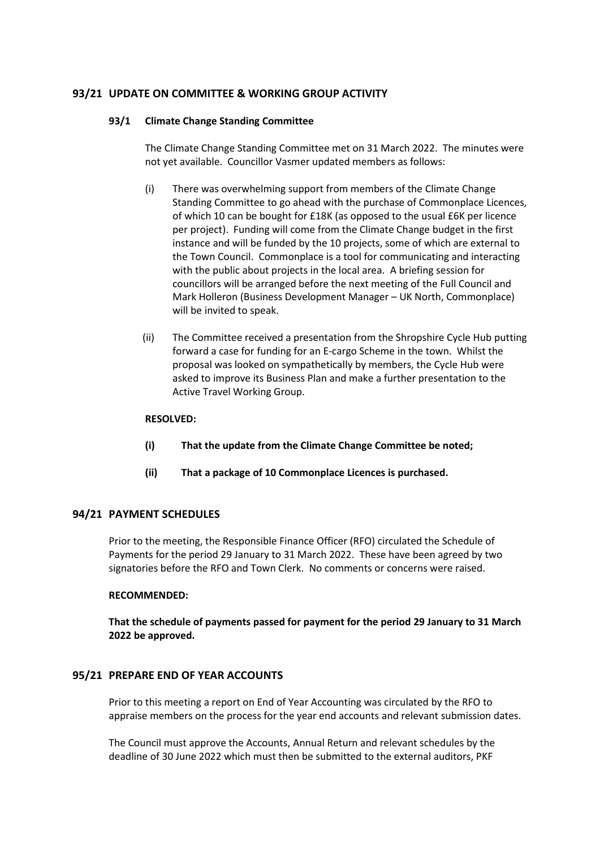# **93/21 UPDATE ON COMMITTEE & WORKING GROUP ACTIVITY**

#### **93/1 Climate Change Standing Committee**

The Climate Change Standing Committee met on 31 March 2022. The minutes were not yet available. Councillor Vasmer updated members as follows:

- (i) There was overwhelming support from members of the Climate Change Standing Committee to go ahead with the purchase of Commonplace Licences, of which 10 can be bought for £18K (as opposed to the usual £6K per licence per project). Funding will come from the Climate Change budget in the first instance and will be funded by the 10 projects, some of which are external to the Town Council. Commonplace is a tool for communicating and interacting with the public about projects in the local area. A briefing session for councillors will be arranged before the next meeting of the Full Council and Mark Holleron (Business Development Manager – UK North, Commonplace) will be invited to speak.
- (ii) The Committee received a presentation from the Shropshire Cycle Hub putting forward a case for funding for an E-cargo Scheme in the town. Whilst the proposal was looked on sympathetically by members, the Cycle Hub were asked to improve its Business Plan and make a further presentation to the Active Travel Working Group.

#### **RESOLVED:**

- **(i) That the update from the Climate Change Committee be noted;**
- **(ii) That a package of 10 Commonplace Licences is purchased.**

### **94/21 PAYMENT SCHEDULES**

Prior to the meeting, the Responsible Finance Officer (RFO) circulated the Schedule of Payments for the period 29 January to 31 March 2022. These have been agreed by two signatories before the RFO and Town Clerk. No comments or concerns were raised.

### **RECOMMENDED:**

**That the schedule of payments passed for payment for the period 29 January to 31 March 2022 be approved.**

### **95/21 PREPARE END OF YEAR ACCOUNTS**

Prior to this meeting a report on End of Year Accounting was circulated by the RFO to appraise members on the process for the year end accounts and relevant submission dates.

The Council must approve the Accounts, Annual Return and relevant schedules by the deadline of 30 June 2022 which must then be submitted to the external auditors, PKF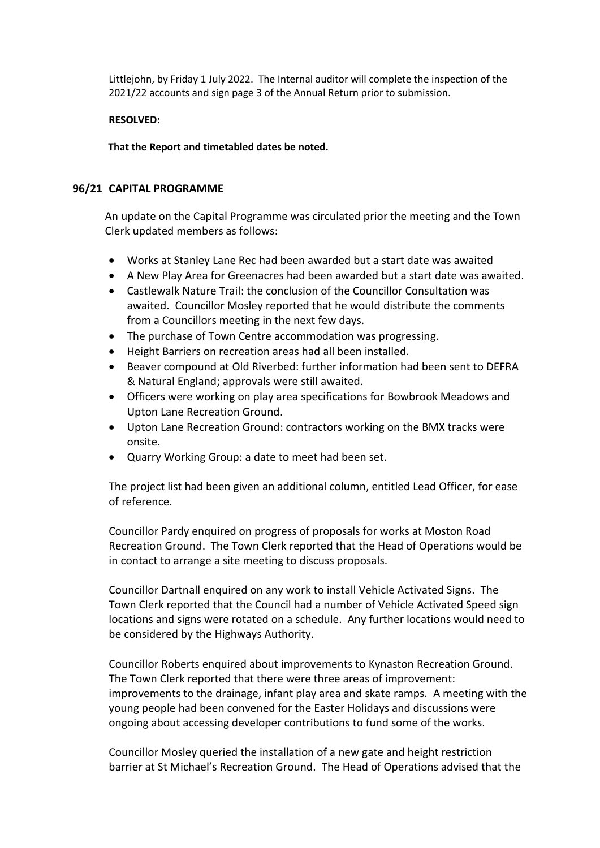Littlejohn, by Friday 1 July 2022. The Internal auditor will complete the inspection of the 2021/22 accounts and sign page 3 of the Annual Return prior to submission.

# **RESOLVED:**

**That the Report and timetabled dates be noted.**

# **96/21 CAPITAL PROGRAMME**

An update on the Capital Programme was circulated prior the meeting and the Town Clerk updated members as follows:

- Works at Stanley Lane Rec had been awarded but a start date was awaited
- A New Play Area for Greenacres had been awarded but a start date was awaited.
- Castlewalk Nature Trail: the conclusion of the Councillor Consultation was awaited. Councillor Mosley reported that he would distribute the comments from a Councillors meeting in the next few days.
- The purchase of Town Centre accommodation was progressing.
- Height Barriers on recreation areas had all been installed.
- Beaver compound at Old Riverbed: further information had been sent to DEFRA & Natural England; approvals were still awaited.
- Officers were working on play area specifications for Bowbrook Meadows and Upton Lane Recreation Ground.
- Upton Lane Recreation Ground: contractors working on the BMX tracks were onsite.
- Quarry Working Group: a date to meet had been set.

The project list had been given an additional column, entitled Lead Officer, for ease of reference.

Councillor Pardy enquired on progress of proposals for works at Moston Road Recreation Ground. The Town Clerk reported that the Head of Operations would be in contact to arrange a site meeting to discuss proposals.

Councillor Dartnall enquired on any work to install Vehicle Activated Signs. The Town Clerk reported that the Council had a number of Vehicle Activated Speed sign locations and signs were rotated on a schedule. Any further locations would need to be considered by the Highways Authority.

Councillor Roberts enquired about improvements to Kynaston Recreation Ground. The Town Clerk reported that there were three areas of improvement: improvements to the drainage, infant play area and skate ramps. A meeting with the young people had been convened for the Easter Holidays and discussions were ongoing about accessing developer contributions to fund some of the works.

Councillor Mosley queried the installation of a new gate and height restriction barrier at St Michael's Recreation Ground. The Head of Operations advised that the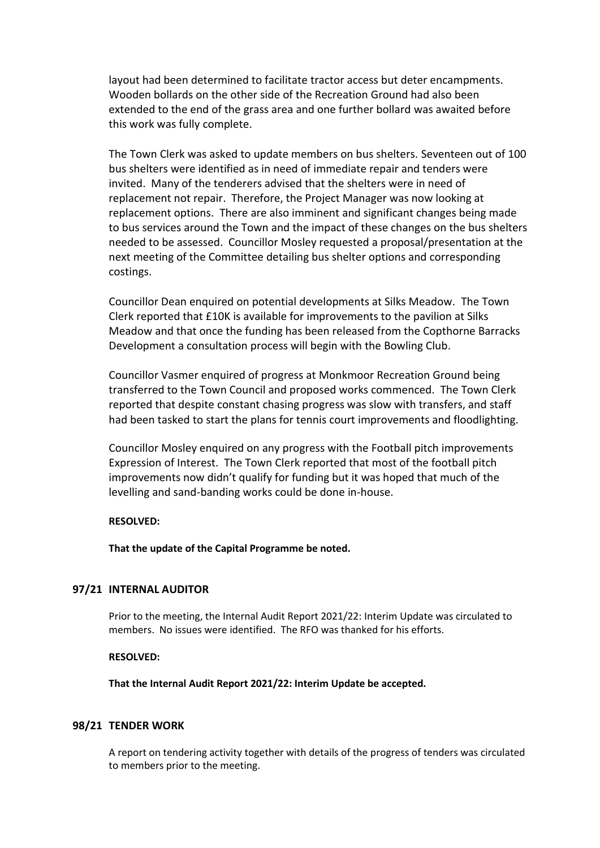layout had been determined to facilitate tractor access but deter encampments. Wooden bollards on the other side of the Recreation Ground had also been extended to the end of the grass area and one further bollard was awaited before this work was fully complete.

The Town Clerk was asked to update members on bus shelters. Seventeen out of 100 bus shelters were identified as in need of immediate repair and tenders were invited. Many of the tenderers advised that the shelters were in need of replacement not repair. Therefore, the Project Manager was now looking at replacement options. There are also imminent and significant changes being made to bus services around the Town and the impact of these changes on the bus shelters needed to be assessed. Councillor Mosley requested a proposal/presentation at the next meeting of the Committee detailing bus shelter options and corresponding costings.

Councillor Dean enquired on potential developments at Silks Meadow. The Town Clerk reported that £10K is available for improvements to the pavilion at Silks Meadow and that once the funding has been released from the Copthorne Barracks Development a consultation process will begin with the Bowling Club.

Councillor Vasmer enquired of progress at Monkmoor Recreation Ground being transferred to the Town Council and proposed works commenced. The Town Clerk reported that despite constant chasing progress was slow with transfers, and staff had been tasked to start the plans for tennis court improvements and floodlighting.

Councillor Mosley enquired on any progress with the Football pitch improvements Expression of Interest. The Town Clerk reported that most of the football pitch improvements now didn't qualify for funding but it was hoped that much of the levelling and sand-banding works could be done in-house.

### **RESOLVED:**

**That the update of the Capital Programme be noted.**

## **97/21 INTERNAL AUDITOR**

Prior to the meeting, the Internal Audit Report 2021/22: Interim Update was circulated to members. No issues were identified. The RFO was thanked for his efforts.

### **RESOLVED:**

**That the Internal Audit Report 2021/22: Interim Update be accepted.**

### **98/21 TENDER WORK**

A report on tendering activity together with details of the progress of tenders was circulated to members prior to the meeting.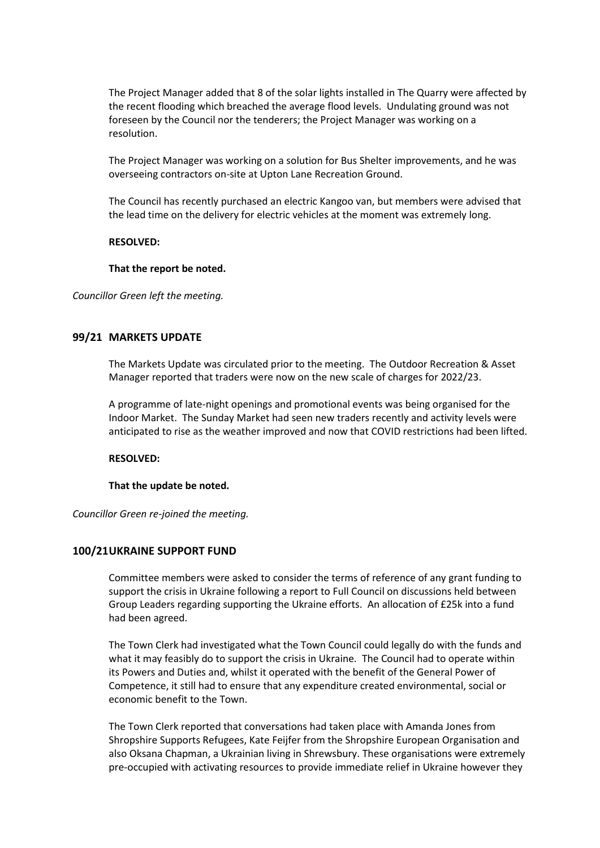The Project Manager added that 8 of the solar lights installed in The Quarry were affected by the recent flooding which breached the average flood levels. Undulating ground was not foreseen by the Council nor the tenderers; the Project Manager was working on a resolution.

The Project Manager was working on a solution for Bus Shelter improvements, and he was overseeing contractors on-site at Upton Lane Recreation Ground.

The Council has recently purchased an electric Kangoo van, but members were advised that the lead time on the delivery for electric vehicles at the moment was extremely long.

#### **RESOLVED:**

#### **That the report be noted.**

*Councillor Green left the meeting.*

### **99/21 MARKETS UPDATE**

The Markets Update was circulated prior to the meeting. The Outdoor Recreation & Asset Manager reported that traders were now on the new scale of charges for 2022/23.

A programme of late-night openings and promotional events was being organised for the Indoor Market. The Sunday Market had seen new traders recently and activity levels were anticipated to rise as the weather improved and now that COVID restrictions had been lifted.

#### **RESOLVED:**

#### **That the update be noted.**

*Councillor Green re-joined the meeting.*

### **100/21UKRAINE SUPPORT FUND**

Committee members were asked to consider the terms of reference of any grant funding to support the crisis in Ukraine following a report to Full Council on discussions held between Group Leaders regarding supporting the Ukraine efforts. An allocation of £25k into a fund had been agreed.

The Town Clerk had investigated what the Town Council could legally do with the funds and what it may feasibly do to support the crisis in Ukraine. The Council had to operate within its Powers and Duties and, whilst it operated with the benefit of the General Power of Competence, it still had to ensure that any expenditure created environmental, social or economic benefit to the Town.

The Town Clerk reported that conversations had taken place with Amanda Jones from Shropshire Supports Refugees, Kate Feijfer from the Shropshire European Organisation and also Oksana Chapman, a Ukrainian living in Shrewsbury. These organisations were extremely pre-occupied with activating resources to provide immediate relief in Ukraine however they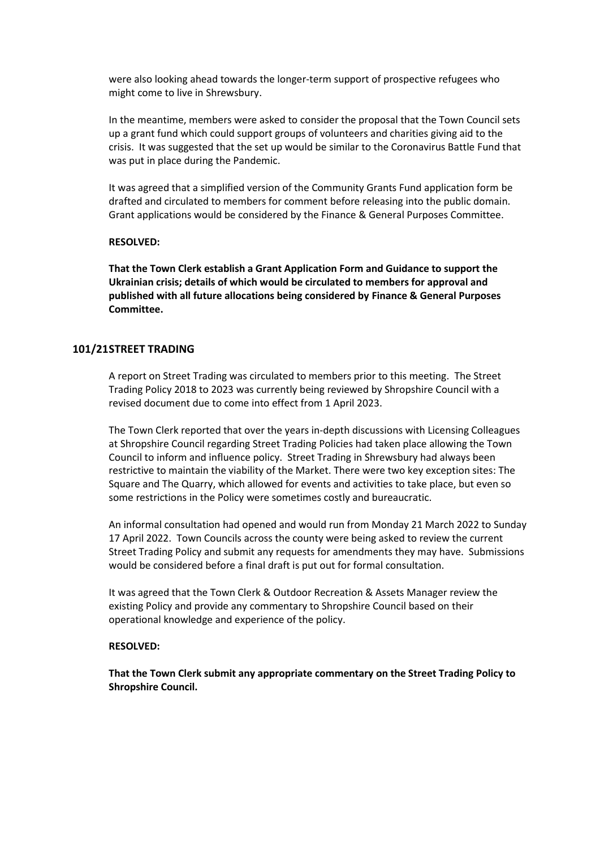were also looking ahead towards the longer-term support of prospective refugees who might come to live in Shrewsbury.

In the meantime, members were asked to consider the proposal that the Town Council sets up a grant fund which could support groups of volunteers and charities giving aid to the crisis. It was suggested that the set up would be similar to the Coronavirus Battle Fund that was put in place during the Pandemic.

It was agreed that a simplified version of the Community Grants Fund application form be drafted and circulated to members for comment before releasing into the public domain. Grant applications would be considered by the Finance & General Purposes Committee.

#### **RESOLVED:**

**That the Town Clerk establish a Grant Application Form and Guidance to support the Ukrainian crisis; details of which would be circulated to members for approval and published with all future allocations being considered by Finance & General Purposes Committee.**

### **101/21STREET TRADING**

A report on Street Trading was circulated to members prior to this meeting. The Street Trading Policy 2018 to 2023 was currently being reviewed by Shropshire Council with a revised document due to come into effect from 1 April 2023.

The Town Clerk reported that over the years in-depth discussions with Licensing Colleagues at Shropshire Council regarding Street Trading Policies had taken place allowing the Town Council to inform and influence policy. Street Trading in Shrewsbury had always been restrictive to maintain the viability of the Market. There were two key exception sites: The Square and The Quarry, which allowed for events and activities to take place, but even so some restrictions in the Policy were sometimes costly and bureaucratic.

An informal consultation had opened and would run from Monday 21 March 2022 to Sunday 17 April 2022. Town Councils across the county were being asked to review the current Street Trading Policy and submit any requests for amendments they may have. Submissions would be considered before a final draft is put out for formal consultation.

It was agreed that the Town Clerk & Outdoor Recreation & Assets Manager review the existing Policy and provide any commentary to Shropshire Council based on their operational knowledge and experience of the policy.

#### **RESOLVED:**

**That the Town Clerk submit any appropriate commentary on the Street Trading Policy to Shropshire Council.**